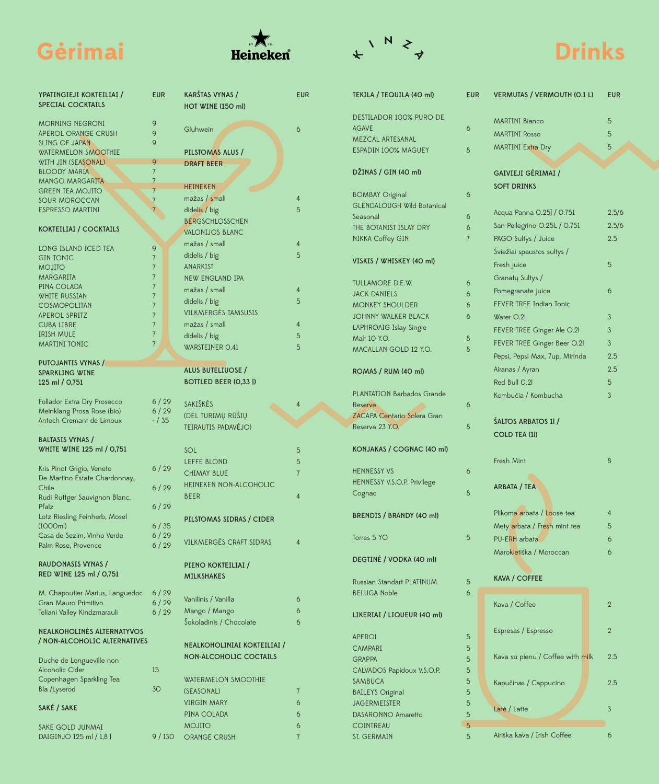

EUR

 $\boldsymbol{6}$ 

 $\overline{4}$  $\overline{5}$ 

 $\overline{4}$  $\overline{5}$ 

 $\overline{4}$  $\overline{5}$ 

 $\overline{4}$  $\overline{5}$ 

 $\overline{5}$ 

 $\overline{4}$ 

 $\overline{5}$ 5  $\overline{7}$ 

 $\overline{4}$ 

 $\overline{4}$ 

 $\overline{6}$ 

 $\sqrt{6}$ 

 $\overline{6}$ 

 $\sqrt{7}$  $\ddot{\mathbf{6}}$  $\mathbf 6$ 

 $\boldsymbol{6}$ 

 $\sqrt{7}$ 

MOJITO

9 / 130 ORANGE CRUSH

SAKE GOLD JUNMAI DAIGINJO 125 ml / 1,8 l



| TEKILA / TEQUILA (40 ml)               | <b>EUR</b> | <b>VERMUTAS / VERMOUTH (O.1 L)</b> | <b>EUR</b>     |
|----------------------------------------|------------|------------------------------------|----------------|
| <b>DESTILADOR 100% PURO DE</b>         |            | <b>MARTINI Bianco</b>              | 5              |
| <b>AGAVE</b>                           | 6          | <b>MARTINI Rosso</b>               | 5              |
| <b>MEZCAL ARTESANAL</b>                |            |                                    |                |
| ESPADIN 100% MAGUEY                    | 8          | <b>MARTINI Extra Dry</b>           | 5              |
| DŽINAS / GIN (40 ml)                   |            | GAIVIEJI GĖRIMAI /                 |                |
|                                        |            | <b>SOFT DRINKS</b>                 |                |
| <b>BOMBAY Original</b>                 | 6          |                                    |                |
| <b>GLENDALOUGH Wild Botanical</b>      |            | Acqua Panna 0.25 / 0.751           | 2.5/6          |
| Seasonal                               | 6          |                                    |                |
| THE BOTANIST ISLAY DRY                 | 6          | San Pellegrino O.25L / 0.751       | 2.5/6          |
| NIKKA Coffey GIN                       | 7          | PAGO Sultys / Juice                | 2.5            |
|                                        |            | Šviežiai spaustos sultys /         |                |
| VISKIS / WHISKEY (40 ml)               |            | Fresh juice                        | 5              |
|                                        |            | Granatų Sultys /                   |                |
| <b>TULLAMORE D.E.W.</b>                | 6<br>6     | Pomegranate juice                  | 6              |
| <b>JACK DANIELS</b>                    | 6          | <b>FEVER TREE Indian Tonic</b>     |                |
| <b>MONKEY SHOULDER</b>                 |            |                                    |                |
| <b>JOHNNY WALKER BLACK</b>             | 6          | Water O.2                          | 3              |
| LAPHROAIG Islay Single<br>Malt 10 Y.O. |            | FEVER TREE Ginger Ale O.21         | 3              |
| MACALLAN GOLD 12 Y.O.                  | 8          | FEVER TREE Ginger Beer O.21        | 3              |
|                                        | 8          | Pepsi, Pepsi Max, 7up, Mirinda     | 2.5            |
|                                        |            | Airanas / Ayran                    | 2.5            |
| ROMAS / RUM (40 ml)                    |            | Red Bull O.2l                      | 5              |
| <b>PLANTATION Barbados Grande</b>      |            |                                    |                |
| Reserve                                | 6          | Kombučia / Kombucha                | 3              |
| <b>ZACAPA Centario Solera Gran</b>     |            |                                    |                |
| Reserva 23 Y.O.                        | 8          | ŠALTOS ARBATOS 11 /                |                |
|                                        |            | COLD TEA (1)                       |                |
| KONJAKAS / COGNAC (40 ml)              |            |                                    |                |
|                                        |            | Fresh Mint                         | 8              |
| <b>HENNESSY VS</b>                     | 6          |                                    |                |
| HENNESSY V.S.O.P. Privilege            |            |                                    |                |
| Cognac                                 | 8          | ARBATA / TEA                       |                |
|                                        |            |                                    |                |
| <b>BRENDIS / BRANDY (40 ml)</b>        |            | Plikoma arbata / Loose tea         | 4              |
|                                        |            | Mety arbata / Fresh mint tea       | 5              |
| Torres 5 YO                            | 5          | PU-ERH arbata                      | 6              |
|                                        |            | Marokietiška / Moroccan            | 6              |
| DEGTINĖ / VODKA (40 ml)                |            |                                    |                |
|                                        |            |                                    |                |
| <b>Russian Standart PLATINUM</b>       | 5          | <b>KAVA / COFFEE</b>               |                |
| <b>BELUGA Noble</b>                    | 6          |                                    |                |
|                                        |            | Kava / Coffee                      | $\overline{2}$ |
| LIKERIAI / LIQUEUR (40 ml)             |            |                                    |                |
|                                        |            | Espresas / Espresso                | $\overline{2}$ |
| <b>APEROL</b>                          | 5          |                                    |                |
| <b>CAMPARI</b>                         | 5          |                                    |                |
| <b>GRAPPA</b>                          | 5          | Kava su pienu / Coffee with milk   | 2.5            |
| CALVADOS Papidoux V.S.O.P.             | 5          |                                    |                |
| SAMBUCA                                | 5          | Kapučinas / Cappucino              | 2.5            |
| <b>BAILEYS</b> Original                | 5          |                                    |                |
| <b>JAGERMEISTER</b>                    | 5          | Latė / Latte                       | 3              |
| DASARONNO Amaretto                     | 5          |                                    |                |
| <b>COINTREAU</b>                       | 5          |                                    |                |
| ST. GERMAIN                            | 5          | Airiška kava / Irish Coffee        | 6              |

| 'PATINGIEJI KOKTEILIAI /                          | <b>EUR</b>     | KARŠTAS VYNAS /                |
|---------------------------------------------------|----------------|--------------------------------|
| <b>PECIAL COCKTAILS</b>                           |                | HOT WINE (150 ml)              |
|                                                   |                |                                |
| <b>MORNING NEGRONI</b>                            | 9              | Gluhwein                       |
| PEROL ORANGE CRUSH                                | 9              |                                |
| LING OF JAPAN                                     | 9              |                                |
| <b>WATERMELON SMOOTHIE</b><br>WITH JIN (SEASONAL) | 9              | PILSTOMAS ALUS /               |
| <b>ILOODY MARIA</b>                               | $\overline{7}$ | <b>DRAFT BEER</b>              |
| MANGO MARGARITA                                   | $\overline{7}$ |                                |
| <b>GREEN TEA MOJITO</b>                           | $\overline{7}$ | <b>HEINEKEN</b>                |
| <b>OUR MOROCCAN</b>                               | $\overline{7}$ | mažas / small                  |
| <b>SPRESSO MARTINI</b>                            | $\overline{7}$ | didelis / big                  |
|                                                   |                | <b>BERGSCHLOSSCHEN</b>         |
| <b><i><u>COKTEILIAI</u></i></b> / COCKTAILS       |                |                                |
|                                                   |                | <b>VALONIJOS BLANC</b>         |
| ONG ISLAND ICED TEA                               | 9              | mažas / small                  |
| <b>GIN TONIC</b>                                  | $\overline{7}$ | didelis / big                  |
| <b>OTILON</b>                                     | $\overline{7}$ | <b>ANARKIST</b>                |
| <b>MARGARITA</b>                                  | $\overline{7}$ | <b>NEW ENGLAND IPA</b>         |
| PINA COLADA                                       | $\overline{7}$ | mažas / small                  |
| WHITE RUSSIAN                                     | $\overline{7}$ |                                |
| COSMOPOLITAN                                      | $\overline{7}$ | didelis / big                  |
| <b>IPEROL SPRITZ</b>                              | $\overline{7}$ | <b>VILKMERGĖS TAMSUSIS</b>     |
| <b>CUBA LIBRE</b>                                 | $\overline{7}$ | mažas / small                  |
| <b>RISH MULE</b>                                  | $\overline{7}$ | didelis / big                  |
| <b>MARTINI TONIC</b>                              | $\overline{7}$ | WARSTEINER O.41                |
|                                                   |                |                                |
| <b>UTOJANTIS VYNAS /</b>                          |                | <b>ALUS BUTELIUOSE /</b>       |
| PARKLING WINE                                     |                |                                |
| 25 ml / 0,751                                     |                | <b>BOTTLED BEER (0,331)</b>    |
| <b>Follador Extra Dry Prosecco</b>                | 6/29           | SAKIŠKĖS                       |
| Meinklang Prosa Rose (bio)                        | 6/29           |                                |
| Intech Cremant de Limoux                          | $- / 35$       | (DĖL TURIMŲ RŪŠIŲ              |
|                                                   |                | TEIRAUTIS PADAVĖJO)            |
| BALTASIS VYNAS /                                  |                |                                |
| WHITE WINE 125 ml / 0,751                         |                | SOL                            |
|                                                   |                | <b>LEFFE BLOND</b>             |
| <b>Kris Pinot Grigio, Veneto</b>                  | 6/29           | <b>CHIMAY BLUE</b>             |
| De Martino Estate Chardonnay,                     |                |                                |
| Chile                                             | 6/29           | HEINEKEN NON-ALCOHOLIC         |
| Rudi Ruttger Sauvignon Blanc,                     |                | <b>BEER</b>                    |
| <sup>o</sup> falz                                 | 6/29           |                                |
| otz Riesling Feinherb, Mosel                      |                | PILSTOMAS SIDRAS / CIDER       |
| 1000ml)                                           | 6/35           |                                |
| Casa de Sezim, Vinho Verde                        | 6/29           | <b>VILKMERGĖS CRAFT SIDRAS</b> |
| alm Rose, Provence                                | 6/29           |                                |
|                                                   |                |                                |
| RAUDONASIS VYNAS /                                |                | PIENO KOKTEILIAI /             |
| RED WINE 125 ml / 0,751                           |                | <b>MILKSHAKES</b>              |
| M. Chapoutier Marius, Languedoc                   | 6/29           |                                |
| Gran Mauro Primitivo                              | 6/29           | Vanilinis / Vanilla            |
| eliani Valley Kindzmarauli                        | 6/29           | Mango / Mango                  |
|                                                   |                | Šokoladinis / Chocolate        |
| <b>IEALKOHOLINĖS ALTERNATYVOS</b>                 |                |                                |
| NON-ALCOHOLIC ALTERNATIVES                        |                |                                |
|                                                   |                | NEALKOHOLINIAI KOKTEILIAI /    |
| Duche de Longueville non                          |                | <b>NON-ALCOHOLIC COCTAILS</b>  |
| Mcoholic Cider                                    | 15             |                                |
| Copenhagen Sparkling Tea                          |                | <b>WATERMELON SMOOTHIE</b>     |
| Bla /Lyserod                                      | 3O             | (SEASONAL)                     |
|                                                   |                |                                |
| AKĖ / SAKE                                        |                | <b>VIRGIN MARY</b>             |
|                                                   |                | PINA COLADA                    |